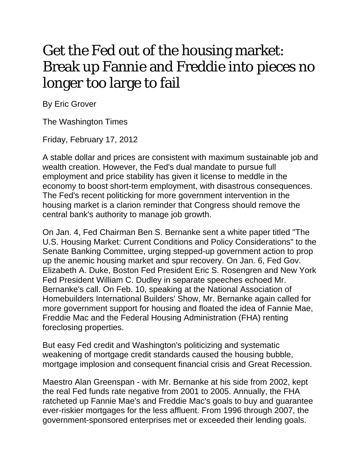## Get the Fed out of the housing market: Break up Fannie and Freddie into pieces no longer too large to fail

By Eric Grover

The Washington Times

Friday, February 17, 2012

A stable dollar and prices are consistent with maximum sustainable job and wealth creation. However, the Fed's dual mandate to pursue full employment and price stability has given it license to meddle in the economy to boost short-term employment, with disastrous consequences. The Fed's recent politicking for more government intervention in the housing market is a clarion reminder that Congress should remove the central bank's authority to manage job growth.

On Jan. 4, Fed Chairman Ben S. Bernanke sent a white paper titled "The U.S. Housing Market: Current Conditions and Policy Considerations" to the Senate Banking Committee, urging stepped-up government action to prop up the anemic housing market and spur recovery. On Jan. 6, Fed Gov. Elizabeth A. Duke, Boston Fed President Eric S. Rosengren and New York Fed President William C. Dudley in separate speeches echoed Mr. Bernanke's call. On Feb. 10, speaking at the National Association of Homebuilders International Builders' Show, Mr. Bernanke again called for more government support for housing and floated the idea of Fannie Mae, Freddie Mac and the Federal Housing Administration (FHA) renting foreclosing properties.

But easy Fed credit and Washington's politicizing and systematic weakening of mortgage credit standards caused the housing bubble, mortgage implosion and consequent financial crisis and Great Recession.

Maestro Alan Greenspan - with Mr. Bernanke at his side from 2002, kept the real Fed funds rate negative from 2001 to 2005. Annually, the FHA ratcheted up Fannie Mae's and Freddie Mac's goals to buy and guarantee ever-riskier mortgages for the less affluent. From 1996 through 2007, the government-sponsored enterprises met or exceeded their lending goals.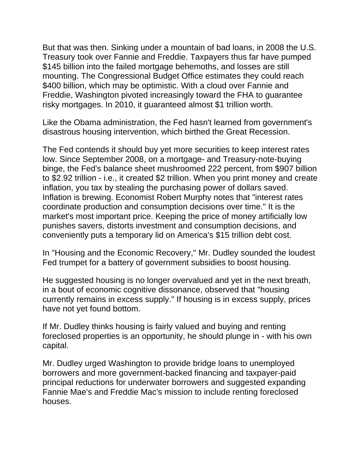But that was then. Sinking under a mountain of bad loans, in 2008 the U.S. Treasury took over Fannie and Freddie. Taxpayers thus far have pumped \$145 billion into the failed mortgage behemoths, and losses are still mounting. The Congressional Budget Office estimates they could reach \$400 billion, which may be optimistic. With a cloud over Fannie and Freddie, Washington pivoted increasingly toward the FHA to guarantee risky mortgages. In 2010, it guaranteed almost \$1 trillion worth.

Like the Obama administration, the Fed hasn't learned from government's disastrous housing intervention, which birthed the Great Recession.

The Fed contends it should buy yet more securities to keep interest rates low. Since September 2008, on a mortgage- and Treasury-note-buying binge, the Fed's balance sheet mushroomed 222 percent, from \$907 billion to \$2.92 trillion - i.e., it created \$2 trillion. When you print money and create inflation, you tax by stealing the purchasing power of dollars saved. Inflation is brewing. Economist Robert Murphy notes that "interest rates coordinate production and consumption decisions over time." It is the market's most important price. Keeping the price of money artificially low punishes savers, distorts investment and consumption decisions, and conveniently puts a temporary lid on America's \$15 trillion debt cost.

In "Housing and the Economic Recovery," Mr. Dudley sounded the loudest Fed trumpet for a battery of government subsidies to boost housing.

He suggested housing is no longer overvalued and yet in the next breath, in a bout of economic cognitive dissonance, observed that "housing currently remains in excess supply." If housing is in excess supply, prices have not yet found bottom.

If Mr. Dudley thinks housing is fairly valued and buying and renting foreclosed properties is an opportunity, he should plunge in - with his own capital.

Mr. Dudley urged Washington to provide bridge loans to unemployed borrowers and more government-backed financing and taxpayer-paid principal reductions for underwater borrowers and suggested expanding Fannie Mae's and Freddie Mac's mission to include renting foreclosed houses.